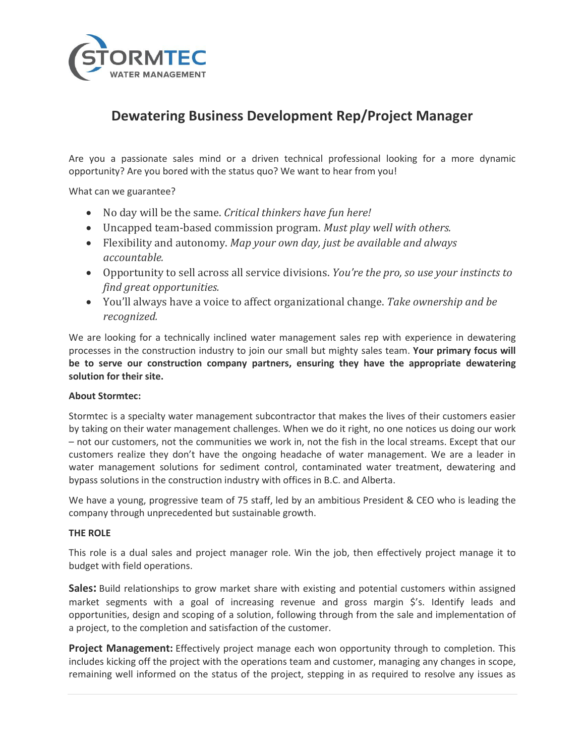

# **Dewatering Business Development Rep/Project Manager**

Are you a passionate sales mind or a driven technical professional looking for a more dynamic opportunity? Are you bored with the status quo? We want to hear from you!

What can we guarantee?

- No day will be the same. *Critical thinkers have fun here!*
- Uncapped team-based commission program. *Must play well with others.*
- Flexibility and autonomy. *Map your own day, just be available and always accountable.*
- Opportunity to sell across all service divisions. *You're the pro, so use your instincts to find great opportunities.*
- You'll always have a voice to affect organizational change. *Take ownership and be recognized.*

We are looking for a technically inclined water management sales rep with experience in dewatering processes in the construction industry to join our small but mighty sales team. **Your primary focus will be to serve our construction company partners, ensuring they have the appropriate dewatering solution for their site.**

#### **About Stormtec:**

Stormtec is a specialty water management subcontractor that makes the lives of their customers easier by taking on their water management challenges. When we do it right, no one notices us doing our work – not our customers, not the communities we work in, not the fish in the local streams. Except that our customers realize they don't have the ongoing headache of water management. We are a leader in water management solutions for sediment control, contaminated water treatment, dewatering and bypass solutions in the construction industry with offices in B.C. and Alberta.

We have a young, progressive team of 75 staff, led by an ambitious President & CEO who is leading the company through unprecedented but sustainable growth.

#### **THE ROLE**

This role is a dual sales and project manager role. Win the job, then effectively project manage it to budget with field operations.

**Sales:** Build relationships to grow market share with existing and potential customers within assigned market segments with a goal of increasing revenue and gross margin \$'s. Identify leads and opportunities, design and scoping of a solution, following through from the sale and implementation of a project, to the completion and satisfaction of the customer.

**Project Management:** Effectively project manage each won opportunity through to completion. This includes kicking off the project with the operations team and customer, managing any changes in scope, remaining well informed on the status of the project, stepping in as required to resolve any issues as